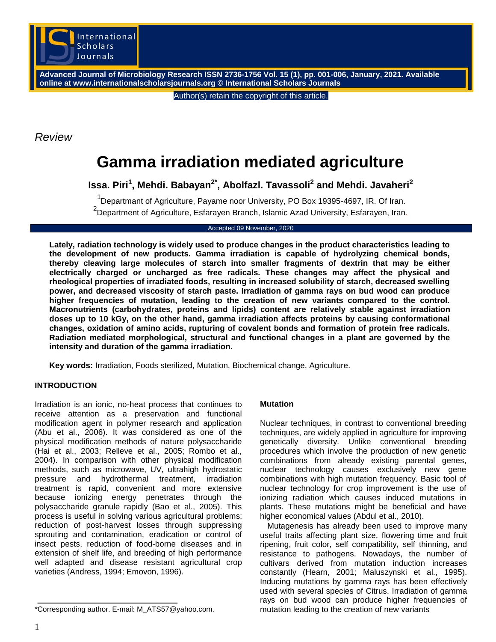

**Advanced Journal of Microbiology Research ISSN 2736-1756 Vol. 15 (1), pp. 001-006, January, 2021. Available online at www.internationalscholarsjournals.org © International Scholars Journals**

Author(s) retain the copyright of this article.

*Review*

# **Gamma irradiation mediated agriculture**

**Issa. Piri<sup>1</sup> , Mehdi. Babayan2\*, Abolfazl. Tavassoli<sup>2</sup> and Mehdi. Javaheri<sup>2</sup>**

<sup>1</sup>Departmant of Agriculture, Payame noor University, PO Box 19395-4697, IR. Of Iran. <sup>2</sup><br>Department of Agriculture, Esfarayen Branch, Islamic Azad University, Esfarayen, Iran.

#### Accepted 09 November, 2020

**Lately, radiation technology is widely used to produce changes in the product characteristics leading to the development of new products. Gamma irradiation is capable of hydrolyzing chemical bonds, thereby cleaving large molecules of starch into smaller fragments of dextrin that may be either electrically charged or uncharged as free radicals. These changes may affect the physical and rheological properties of irradiated foods, resulting in increased solubility of starch, decreased swelling power, and decreased viscosity of starch paste. Irradiation of gamma rays on bud wood can produce higher frequencies of mutation, leading to the creation of new variants compared to the control. Macronutrients (carbohydrates, proteins and lipids) content are relatively stable against irradiation doses up to 10 kGy, on the other hand, gamma irradiation affects proteins by causing conformational changes, oxidation of amino acids, rupturing of covalent bonds and formation of protein free radicals. Radiation mediated morphological, structural and functional changes in a plant are governed by the intensity and duration of the gamma irradiation.**

**Key words:** Irradiation, Foods sterilized, Mutation, Biochemical change, Agriculture.

# **INTRODUCTION**

Irradiation is an ionic, no-heat process that continues to receive attention as a preservation and functional modification agent in polymer research and application (Abu et al., 2006). It was considered as one of the physical modification methods of nature polysaccharide (Hai et al., 2003; Relleve et al., 2005; Rombo et al., 2004). In comparison with other physical modification methods, such as microwave, UV, ultrahigh hydrostatic pressure and hydrothermal treatment, irradiation treatment is rapid, convenient and more extensive because ionizing energy penetrates through the polysaccharide granule rapidly (Bao et al., 2005). This process is useful in solving various agricultural problems: reduction of post-harvest losses through suppressing sprouting and contamination, eradication or control of insect pests, reduction of food-borne diseases and in extension of shelf life, and breeding of high performance well adapted and disease resistant agricultural crop varieties (Andress, 1994; Emovon, 1996).

\*Corresponding author. E-mail: M\_ATS57@yahoo.com.

### **Mutation**

Nuclear techniques, in contrast to conventional breeding techniques, are widely applied in agriculture for improving genetically diversity. Unlike conventional breeding procedures which involve the production of new genetic combinations from already existing parental genes, nuclear technology causes exclusively new gene combinations with high mutation frequency. Basic tool of nuclear technology for crop improvement is the use of ionizing radiation which causes induced mutations in plants. These mutations might be beneficial and have higher economical values (Abdul et al., 2010).

Mutagenesis has already been used to improve many useful traits affecting plant size, flowering time and fruit ripening, fruit color, self compatibility, self thinning, and resistance to pathogens. Nowadays, the number of cultivars derived from mutation induction increases constantly (Hearn, 2001; Maluszynski et al., 1995). Inducing mutations by gamma rays has been effectively used with several species of Citrus. Irradiation of gamma rays on bud wood can produce higher frequencies of mutation leading to the creation of new variants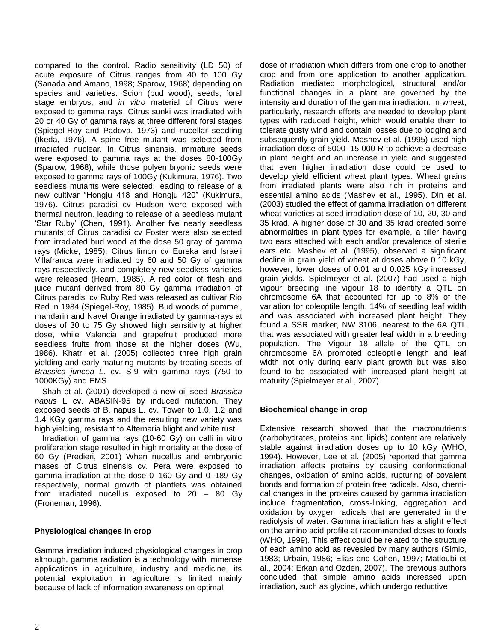compared to the control. Radio sensitivity (LD 50) of acute exposure of Citrus ranges from 40 to 100 Gy (Sanada and Amano, 1998; Sparow, 1968) depending on species and varieties. Scion (bud wood), seeds, foral stage embryos, and *in vitro* material of Citrus were exposed to gamma rays. Citrus sunki was irradiated with 20 or 40 Gy of gamma rays at three different foral stages (Spiegel-Roy and Padova, 1973) and nucellar seedling (Ikeda, 1976). A spine free mutant was selected from irradiated nuclear. In Citrus sinensis, immature seeds were exposed to gamma rays at the doses 80-100Gy (Sparow, 1968), while those polyembryonic seeds were exposed to gamma rays of 100Gy (Kukimura, 1976). Two seedless mutants were selected, leading to release of a new cultivar "Hongju 418 and Hongju 420" (Kukimura, 1976). Citrus paradisi cv Hudson were exposed with thermal neutron, leading to release of a seedless mutant "Star Ruby" (Chen, 1991). Another fve nearly seedless mutants of Citrus paradisi cv Foster were also selected from irradiated bud wood at the dose 50 gray of gamma rays (Micke, 1985). Citrus limon cv Eureka and Israeli Villafranca were irradiated by 60 and 50 Gy of gamma rays respectively, and completely new seedless varieties were released (Hearn, 1985). A red color of flesh and juice mutant derived from 80 Gy gamma irradiation of Citrus paradisi cv Ruby Red was released as cultivar Rio Red in 1984 (Spiegel-Roy, 1985). Bud woods of pummel, mandarin and Navel Orange irradiated by gamma-rays at doses of 30 to 75 Gy showed high sensitivity at higher dose, while Valencia and grapefruit produced more seedless fruits from those at the higher doses (Wu, 1986). Khatri et al. (2005) collected three high grain yielding and early maturing mutants by treating seeds of *Brassica juncea L*. cv. S-9 with gamma rays (750 to 1000KGy) and EMS.

Shah et al. (2001) developed a new oil seed *Brassica napus* L cv. ABASIN-95 by induced mutation. They exposed seeds of B. napus L. cv. Tower to 1.0, 1.2 and 1.4 KGy gamma rays and the resulting new variety was high yielding, resistant to Alternaria blight and white rust.

Irradiation of gamma rays (10-60 Gy) on calli in vitro proliferation stage resulted in high mortality at the dose of 60 Gy (Predieri, 2001) When nucellus and embryonic mases of Citrus sinensis cv. Pera were exposed to gamma irradiation at the dose 0–160 Gy and 0–189 Gy respectively, normal growth of plantlets was obtained from irradiated nucellus exposed to 20 – 80 Gy (Froneman, 1996).

# **Physiological changes in crop**

Gamma irradiation induced physiological changes in crop although, gamma radiation is a technology with immense applications in agriculture, industry and medicine, its potential exploitation in agriculture is limited mainly because of lack of information awareness on optimal

dose of irradiation which differs from one crop to another crop and from one application to another application. Radiation mediated morphological, structural and/or functional changes in a plant are governed by the intensity and duration of the gamma irradiation. In wheat, particularly, research efforts are needed to develop plant types with reduced height, which would enable them to tolerate gusty wind and contain losses due to lodging and subsequently grain yield. Mashey et al. (1995) used high irradiation dose of 5000–15 000 R to achieve a decrease in plant height and an increase in yield and suggested that even higher irradiation dose could be used to develop yield efficient wheat plant types. Wheat grains from irradiated plants were also rich in proteins and essential amino acids (Mashev et al., 1995). Din et al. (2003) studied the effect of gamma irradiation on different wheat varieties at seed irradiation dose of 10, 20, 30 and 35 krad. A higher dose of 30 and 35 krad created some abnormalities in plant types for example, a tiller having two ears attached with each and/or prevalence of sterile ears etc. Mashev et al. (1995), observed a significant decline in grain yield of wheat at doses above 0.10 kGy, however, lower doses of 0.01 and 0.025 kGy increased grain yields. Spielmeyer et al. (2007) had used a high vigour breeding line vigour 18 to identify a QTL on chromosome 6A that accounted for up to 8% of the variation for coleoptile length, 14% of seedling leaf width and was associated with increased plant height. They found a SSR marker, NW 3106, nearest to the 6A QTL that was associated with greater leaf width in a breeding population. The Vigour 18 allele of the QTL on chromosome 6A promoted coleoptile length and leaf width not only during early plant growth but was also found to be associated with increased plant height at maturity (Spielmeyer et al., 2007).

# **Biochemical change in crop**

Extensive research showed that the macronutrients (carbohydrates, proteins and lipids) content are relatively stable against irradiation doses up to 10 kGy (WHO, 1994). However, Lee et al. (2005) reported that gamma irradiation affects proteins by causing conformational changes, oxidation of amino acids, rupturing of covalent bonds and formation of protein free radicals. Also, chemical changes in the proteins caused by gamma irradiation include fragmentation, cross-linking, aggregation and oxidation by oxygen radicals that are generated in the radiolysis of water. Gamma irradiation has a slight effect on the amino acid profile at recommended doses to foods (WHO, 1999). This effect could be related to the structure of each amino acid as revealed by many authors (Simic, 1983; Urbain, 1986; Elias and Cohen, 1997; Matloubi et al., 2004; Erkan and Ozden, 2007). The previous authors concluded that simple amino acids increased upon irradiation, such as glycine, which undergo reductive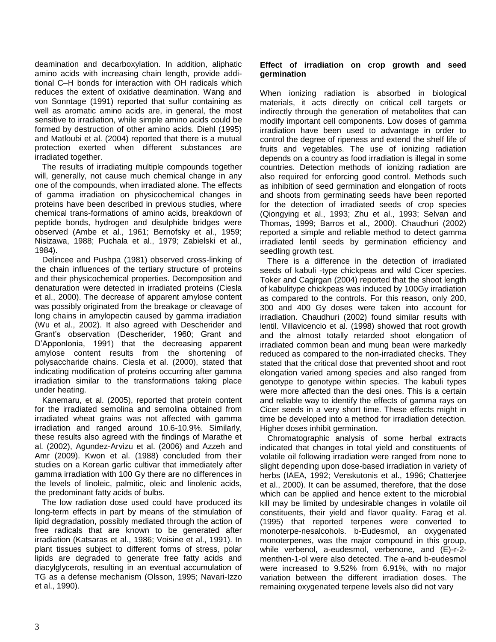deamination and decarboxylation. In addition, aliphatic amino acids with increasing chain length, provide additional C–H bonds for interaction with OH radicals which reduces the extent of oxidative deamination. Wang and von Sonntage (1991) reported that sulfur containing as well as aromatic amino acids are, in general, the most sensitive to irradiation, while simple amino acids could be formed by destruction of other amino acids. Diehl (1995) and Matloubi et al. (2004) reported that there is a mutual protection exerted when different substances are irradiated together.

The results of irradiating multiple compounds together will, generally, not cause much chemical change in any one of the compounds, when irradiated alone. The effects of gamma irradiation on physicochemical changes in proteins have been described in previous studies, where chemical trans-formations of amino acids, breakdown of peptide bonds, hydrogen and disulphide bridges were observed (Ambe et al., 1961; Bernofsky et al., 1959; Nisizawa, 1988; Puchala et al., 1979; Zabielski et al., 1984).

Delincee and Pushpa (1981) observed cross-linking of the chain influences of the tertiary structure of proteins and their physicochemical properties. Decomposition and denaturation were detected in irradiated proteins (Ciesla et al., 2000). The decrease of apparent amylose content was possibly originated from the breakage or cleavage of long chains in amylopectin caused by gamma irradiation (Wu et al., 2002). It also agreed with Descherider and Grant"s observation (Descherider, 1960; Grant and D"Apponlonia, 1991) that the decreasing apparent amylose content results from the shortening of polysaccharide chains. Ciesla et al. (2000), stated that indicating modification of proteins occurring after gamma irradiation similar to the transformations taking place under heating.

Kanemaru, et al. (2005), reported that protein content for the irradiated semolina and semolina obtained from irradiated wheat grains was not affected with gamma irradiation and ranged around 10.6-10.9%. Similarly, these results also agreed with the findings of Marathe et al. (2002), Agundez-Arvizu et al. (2006) and Azzeh and Amr (2009). Kwon et al. (1988) concluded from their studies on a Korean garlic cultivar that immediately after gamma irradiation with 100 Gy there are no differences in the levels of linoleic, palmitic, oleic and linolenic acids, the predominant fatty acids of bulbs.

The low radiation dose used could have produced its long-term effects in part by means of the stimulation of lipid degradation, possibly mediated through the action of free radicals that are known to be generated after irradiation (Katsaras et al., 1986; Voisine et al., 1991). In plant tissues subject to different forms of stress, polar lipids are degraded to generate free fatty acids and diacylglycerols, resulting in an eventual accumulation of TG as a defense mechanism (Olsson, 1995; Navari-Izzo et al., 1990).

## **Effect of irradiation on crop growth and seed germination**

When ionizing radiation is absorbed in biological materials, it acts directly on critical cell targets or indirectly through the generation of metabolites that can modify important cell components. Low doses of gamma irradiation have been used to advantage in order to control the degree of ripeness and extend the shelf life of fruits and vegetables. The use of ionizing radiation depends on a country as food irradiation is illegal in some countries. Detection methods of ionizing radiation are also required for enforcing good control. Methods such as inhibition of seed germination and elongation of roots and shoots from germinating seeds have been reported for the detection of irradiated seeds of crop species (Qiongying et al., 1993; Zhu et al., 1993; Selvan and Thomas, 1999; Barros et al., 2000). Chaudhuri (2002) reported a simple and reliable method to detect gamma irradiated lentil seeds by germination efficiency and seedling growth test.

There is a difference in the detection of irradiated seeds of kabuli -type chickpeas and wild Cicer species. Toker and Cagirgan (2004) reported that the shoot length of kabulitype chickpeas was induced by 100Gy irradiation as compared to the controls. For this reason, only 200, 300 and 400 Gy doses were taken into account for irradiation. Chaudhuri (2002) found similar results with lentil. Villavicencio et al. (1998) showed that root growth and the almost totally retarded shoot elongation of irradiated common bean and mung bean were markedly reduced as compared to the non-irradiated checks. They stated that the critical dose that prevented shoot and root elongation varied among species and also ranged from genotype to genotype within species. The kabuli types were more affected than the desi ones. This is a certain and reliable way to identify the effects of gamma rays on Cicer seeds in a very short time. These effects might in time be developed into a method for irradiation detection. Higher doses inhibit germination.

Chromatographic analysis of some herbal extracts indicated that changes in total yield and constituents of volatile oil following irradiation were ranged from none to slight depending upon dose-based irradiation in variety of herbs (IAEA, 1992; Venskutonis et al., 1996; Chatterjee et al., 2000). It can be assumed, therefore, that the dose which can be applied and hence extent to the microbial kill may be limited by undesirable changes in volatile oil constituents, their yield and flavor quality. Farag et al. (1995) that reported terpenes were converted to monoterpe-nesalcohols. b-Eudesmol, an oxygenated monoterpenes, was the major compound in this group, while verbenol, a-eudesmol, verbenone, and (E)-r-2 menthen-1-ol were also detected. The a-and b-eudesmol were increased to 9.52% from 6.91%, with no major variation between the different irradiation doses. The remaining oxygenated terpene levels also did not vary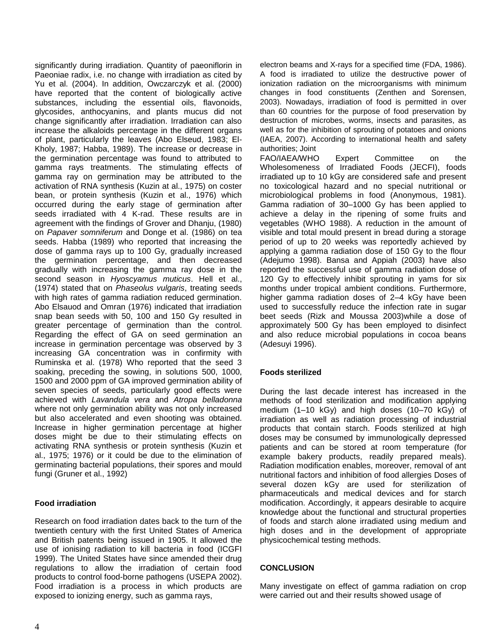significantly during irradiation. Quantity of paeoniflorin in Paeoniae radix, i.e. no change with irradiation as cited by Yu et al. (2004). In addition, Owczarczyk et al. (2000) have reported that the content of biologically active substances, including the essential oils, flavonoids, glycosides, anthocyanins, and plants mucus did not change significantly after irradiation. Irradiation can also increase the alkaloids percentage in the different organs of plant, particularly the leaves (Abo Elseud, 1983; El-Kholy, 1987; Habba, 1989). The increase or decrease in the germination percentage was found to attributed to gamma rays treatments. The stimulating effects of gamma ray on germination may be attributed to the activation of RNA synthesis (Kuzin at al., 1975) on coster bean, or protein synthesis (Kuzin et al., 1976) which occurred during the early stage of germination after seeds irradiated with 4 K-rad. These results are in agreement with the findings of Grover and Dhanju, (1980) on *Papaver somniferum* and Donge et al. (1986) on tea seeds. Habba (1989) who reported that increasing the dose of gamma rays up to 100 Gy, gradually increased the germination percentage, and then decreased gradually with increasing the gamma ray dose in the second season in *Hyoscyamus muticus*. Hell et al., (1974) stated that on *Phaseolus vulgaris*, treating seeds with high rates of gamma radiation reduced germination. Abo Elsauod and Omran (1976) indicated that irradiation snap bean seeds with 50, 100 and 150 Gy resulted in greater percentage of germination than the control. Regarding the effect of GA on seed germination an increase in germination percentage was observed by 3 increasing GA concentration was in confirmity with Ruminska et al. (1978) Who reported that the seed 3 soaking, preceding the sowing, in solutions 500, 1000, 1500 and 2000 ppm of GA improved germination ability of seven species of seeds, particularly good effects were achieved with *Lavandula vera* and *Atropa belladonna* where not only germination ability was not only increased but also accelerated and even shooting was obtained. Increase in higher germination percentage at higher doses might be due to their stimulating effects on activating RNA synthesis or protein synthesis (Kuzin et al., 1975; 1976) or it could be due to the elimination of germinating bacterial populations, their spores and mould fungi (Gruner et al., 1992)

# **Food irradiation**

Research on food irradiation dates back to the turn of the twentieth century with the first United States of America and British patents being issued in 1905. It allowed the use of ionising radiation to kill bacteria in food (ICGFI 1999). The United States have since amended their drug regulations to allow the irradiation of certain food products to control food-borne pathogens (USEPA 2002). Food irradiation is a process in which products are exposed to ionizing energy, such as gamma rays,

electron beams and X-rays for a specified time (FDA, 1986). A food is irradiated to utilize the destructive power of ionization radiation on the microorganisms with minimum changes in food constituents (Zenthen and Sorensen, 2003). Nowadays, irradiation of food is permitted in over than 60 countries for the purpose of food preservation by destruction of microbes, worms, insects and parasites, as well as for the inhibition of sprouting of potatoes and onions (IAEA, 2007). According to international health and safety authorities; Joint

FAO/IAEA/WHO Expert Committee on the Wholesomeness of Irradiated Foods (JECFI), foods irradiated up to 10 kGy are considered safe and present no toxicological hazard and no special nutritional or microbiological problems in food (Anonymous, 1981). Gamma radiation of 30–1000 Gy has been applied to achieve a delay in the ripening of some fruits and vegetables (WHO 1988). A reduction in the amount of visible and total mould present in bread during a storage period of up to 20 weeks was reportedly achieved by applying a gamma radiation dose of 150 Gy to the flour (Adejumo 1998). Bansa and Appiah (2003) have also reported the successful use of gamma radiation dose of 120 Gy to effectively inhibit sprouting in yams for six months under tropical ambient conditions. Furthermore, higher gamma radiation doses of 2–4 kGy have been used to successfully reduce the infection rate in sugar beet seeds (Rizk and Moussa 2003)while a dose of approximately 500 Gy has been employed to disinfect and also reduce microbial populations in cocoa beans (Adesuyi 1996).

# **Foods sterilized**

During the last decade interest has increased in the methods of food sterilization and modification applying medium (1–10 kGy) and high doses (10–70 kGy) of irradiation as well as radiation processing of industrial products that contain starch. Foods sterilized at high doses may be consumed by immunologically depressed patients and can be stored at room temperature (for example bakery products, readily prepared meals). Radiation modification enables, moreover, removal of ant nutritional factors and inhibition of food allergies Doses of several dozen kGy are used for sterilization of pharmaceuticals and medical devices and for starch modification. Accordingly, it appears desirable to acquire knowledge about the functional and structural properties of foods and starch alone irradiated using medium and high doses and in the development of appropriate physicochemical testing methods.

# **CONCLUSION**

Many investigate on effect of gamma radiation on crop were carried out and their results showed usage of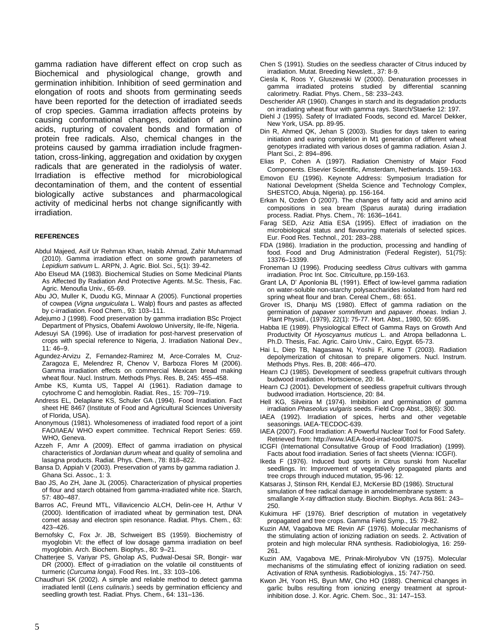gamma radiation have different effect on crop such as Biochemical and physiological change, growth and germination inhibition. Inhibition of seed germination and elongation of roots and shoots from germinating seeds have been reported for the detection of irradiated seeds of crop species. Gamma irradiation affects proteins by causing conformational changes, oxidation of amino acids, rupturing of covalent bonds and formation of protein free radicals. Also, chemical changes in the proteins caused by gamma irradiation include fragmentation, cross-linking, aggregation and oxidation by oxygen radicals that are generated in the radiolysis of water. Irradiation is effective method for microbiological decontamination of them, and the content of essential biologically active substances and pharmacological activity of medicinal herbs not change significantly with irradiation.

#### **REFERENCES**

- Abdul Majeed, Asif Ur Rehman Khan, Habib Ahmad, Zahir Muhammad (2010). Gamma irradiation effect on some growth parameters of *Lepidium sativum* L. ARPN, J. Agric. Biol. Sci., 5(1): 39-42.
- Abo Elseud MA (1983). Biochemical Studies on Some Medicinal Plants As Affected By Radiation And Protective Agents. M.Sc. Thesis, Fac. Agric. Menoufia Univ., 65-69.
- Abu JO, Muller K, Duodu KG, Minnaar A (2005). Functional properties of cowpea (*Vigna unguiculata* L. Walp) flours and pastes as affected by c-irradiation. Food Chem., 93: 103–111.
- Adejumo J (1998). Food preservation by gamma irradiation BSc Project Department of Physics, Obafemi Awolowo University, Ile-Ife, Nigeria.
- Adesuyi SA (1996). Use of irradiation for post-harvest preservation of crops with special reference to Nigeria, J. Irradiation National Dev., 11: 46–9.
- Agundez-Arvizu Z, Fernandez-Ramirez M, Arce-Corrales M, Cruz-Zaragoza E, Melendrez R, Chenov V, Barboza Flores M (2006). Gamma irradiation effects on commercial Mexican bread making wheat flour. Nucl. Instrum. Methods Phys. Res. B, 245: 455–458.
- Ambe KS, Kumta US, Tappel AI (1961). Radiation damage to cytochrome C and hemoglobin. Radiat. Res., 15: 709–719.
- Andress EL, Delaplane KS, Schuler GA (1994). Food Irradiation. Fact sheet HE 8467 (Institute of Food and Agricultural Sciences University of Florida, USA).
- Anonymous (1981). Wholesomeness of irradiated food report of a joint FAO/IAEA/ WHO expert committee. Technical Report Series: 659. WHO, Geneva.
- Azzeh F, Amr A (2009). Effect of gamma irradiation on physical characteristics of *Jordanian durum* wheat and quality of semolina and lasagna products. Radiat. Phys. Chem., 78: 818–822.
- Bansa D, Appiah V (2003). Preservation of yams by gamma radiation J. Ghana Sci. Assoc., 1: 3.
- Bao JS, Ao ZH, Jane JL (2005). Characterization of physical properties of flour and starch obtained from gamma-irradiated white rice. Starch, 57: 480–487.
- Barros AC, Freund MTL, Villavicencio ALCH, Delin-cee H, Arthur V (2000). Identification of irradiated wheat by germination test, DNA comet assay and electron spin resonance. Radiat. Phys. Chem., 63: 423–426.
- Bernofsky C, Fox Jr. JB, Schweigert BS (1959). Biochemistry of myoglobin VI: the effect of low dosage gamma irradiation on beef myoglobin. Arch. Biochem. Biophys., 80: 9–21.
- Chatterjee S, Variyar PS, Gholap AS, Pudwal-Desai SR, Bongir- war DR (2000). Effect of g-irradiation on the volatile oil constituents of turmeric (*Curcuma longa*). Food Res. Int., 33: 103–106.
- Chaudhuri SK (2002). A simple and reliable method to detect gamma irradiated lentil (*Lens culinaris*.) seeds by germination efficiency and seedling growth test. Radiat. Phys. Chem., 64: 131–136.
- Chen S (1991). Studies on the seedless character of Citrus induced by irradiation. Mutat. Breeding Newslett., 37: 8-9.
- Ciesla K, Roos Y, Gluszewski W (2000). Denaturation processes in gamma irradiated proteins studied by differential scanning calorimetry. Radiat. Phys. Chem., 58: 233–243.
- Descherider AR (1960). Changes in starch and its degradation products on irradiating wheat flour with gamma rays. Starch/Staerke 12: 197.
- Diehl J (1995). Safety of Irradiated Foods, second ed. Marcel Dekker, New York, USA. pp. 89-95.
- Din R, Ahmed QK, Jehan S (2003). Studies for days taken to earing initiation and earing completion in M1 generation of different wheat genotypes irradiated with various doses of gamma radiation. Asian J. Plant Sci., 2: 894–896.
- Elias P, Cohen A (1997). Radiation Chemistry of Major Food Components. Elsevier Scientific, Amsterdam, Netherlands. 159-163.
- Emovon EU (1996). Keynote Address: Symposium Irradiation for National Development (Shelda Science and Technology Complex, SHESTCO, Abuja, Nigeria). pp. 156-164.
- Erkan N, Ozden O (2007). The changes of fatty acid and amino acid compositions in sea bream (Sparus aurata) during irradiation process. Radiat. Phys. Chem., 76: 1636–1641.
- Farag SED, Aziz Attia ESA (1995). Effect of irradiation on the microbiological status and flavouring materials of selected spices. Eur. Food Res. Technol., 201: 283–288.
- FDA (1986). Irradiation in the production, processing and handling of food. Food and Drug Administration (Federal Register), 51(75): 13376–13399.
- Froneman IJ (1996). Producing seedless *Citrus* cultivars with gamma irradiation. Proc Int. Soc. Citriculture, pp.159-163.
- Grant LA, D" Aponlonia BL (1991). Effect of low-level gamma radiation on water-soluble non-starchy polysaccharides isolated from hard red spring wheat flour and bran. Cereal Chem., 68: 651.
- Grover IS, Dhanju MS (1980). Effect of gamma radiation on the germination of *papaver somniferum* and *papaver. rhoeas*. Indian J. Plant Physiol., (1979), 22(1): 75-77. Hort. Abst., 1980, 50: 6595.
- Habba IE (1989). Physiological Effect of Gamma Rays on Growth And Productivity Of *Hyoscyamus muticus* L. and Atropa belladonna L. Ph.D. Thesis, Fac. Agric. Cairo Univ., Cairo, Egypt. 65-73.
- Hai L, Diep TB, Nagasawa N, Yoshii F, Kume T (2003). Radiation depolymerization of chitosan to prepare oligomers. Nucl. Instrum. Methods Phys. Res. B, 208: 466–470.
- Hearn CJ (1985). Development of seedless grapefruit cultivars through budwood irradiation. Hortscience, 20: 84.
- Hearn CJ (2001). Development of seedless grapefruit cultivars through budwood irradiation. Hortscience, 20: 84.
- Hell KG, Silveira M (1974). Imbibition and germination of gamma irradiation *Phaseolus vulgaris* seeds. Field Crop Abst., 38(6): 300.
- IAEA (1992). Irradiation of spices, herbs and other vegetable seasonings. IAEA-TECDOC-639.
- IAEA (2007). Food Irradiation: A Powerful Nuclear Tool for Food Safety. Retrieved from: http://www.IAEA-food-irrad-tool0807S.
- ICGFI (International Consultative Group of Food Irradiation) (1999). Facts about food irradiation. Series of fact sheets (Vienna: ICGFI).
- Ikeda F (1976). Induced bud sports in Citrus sunski from Nucellar seedlings. In: Improvement of vegetatively propagated plants and tree crops through induced mutation, 95-96: 12.
- Katsaras J, Stinson RH, Kendal EJ, McKersie BD (1986). Structural simulation of free radical damage in amodelmembrane system: a smallangle X-ray diffraction study. Biochim. Biophys. Acta 861: 243– 250.
- Kukimura HF (1976). Brief description of mutation in vegetatively propagated and tree crops. Gamma Field Symp., 15: 79-82.
- Kuzin AM, Vagabova ME Revin AF (1976). Molecular mechanisms of the stimulating action of ionizing radiation on seeds. 2. Activation of protein and high molecular RNA synthesis. Radiobiologiya, 16: 259- 261.
- Kuzin AM, Vagabova ME, Prinak-Mirolyubov VN (1975). Molecular mechanisms of the stimulating effect of ionizing radiation on seed. Activation of RNA synthesis. Radiobiologiya., 15: 747-750.
- Kwon JH, Yoon HS, Byun MW, Cho HO (1988). Chemical changes in garlic bulbs resulting from ionizing energy treatment at sproutinhibition dose. J. Kor. Agric. Chem. Soc., 31: 147–153.